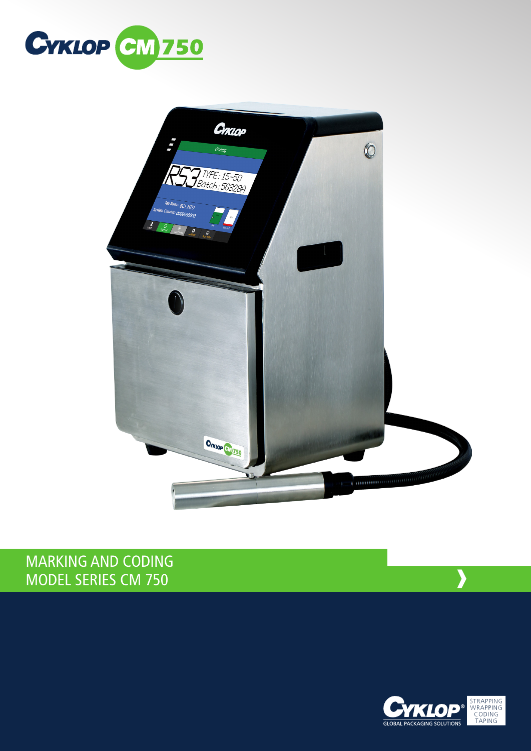



## MARKING AND CODING MODEL SERIES CM 750



**›**